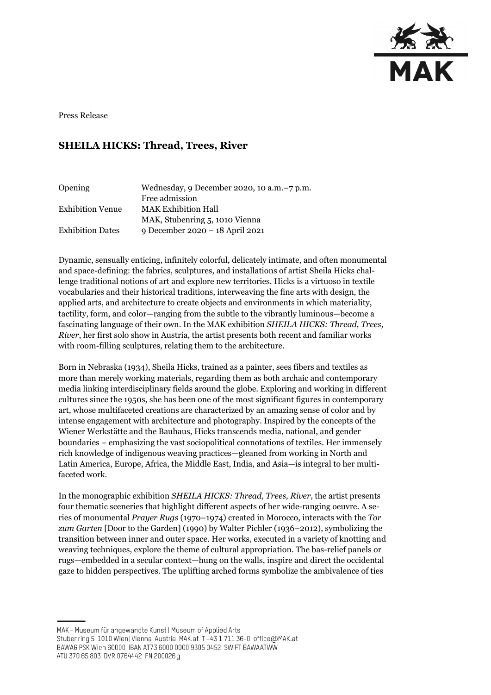

Press Release

## **SHEILA HICKS: Thread, Trees, River**

| Opening                 | Wednesday, 9 December 2020, 10 a.m. -7 p.m. |
|-------------------------|---------------------------------------------|
|                         | Free admission                              |
| Exhibition Venue        | <b>MAK Exhibition Hall</b>                  |
|                         | MAK, Stubenring 5, 1010 Vienna              |
| <b>Exhibition Dates</b> | 9 December 2020 - 18 April 2021             |

Dynamic, sensually enticing, infinitely colorful, delicately intimate, and often monumental and space-defining: the fabrics, sculptures, and installations of artist Sheila Hicks challenge traditional notions of art and explore new territories. Hicks is a virtuoso in textile vocabularies and their historical traditions, interweaving the fine arts with design, the applied arts, and architecture to create objects and environments in which materiality, tactility, form, and color—ranging from the subtle to the vibrantly luminous—become a fascinating language of their own. In the MAK exhibition *SHEILA HICKS: Thread, Trees, River*, her first solo show in Austria, the artist presents both recent and familiar works with room-filling sculptures, relating them to the architecture.

Born in Nebraska (1934), Sheila Hicks, trained as a painter, sees fibers and textiles as more than merely working materials, regarding them as both archaic and contemporary media linking interdisciplinary fields around the globe. Exploring and working in different cultures since the 1950s, she has been one of the most significant figures in contemporary art, whose multifaceted creations are characterized by an amazing sense of color and by intense engagement with architecture and photography. Inspired by the concepts of the Wiener Werkstätte and the Bauhaus, Hicks transcends media, national, and gender boundaries – emphasizing the vast sociopolitical connotations of textiles. Her immensely rich knowledge of indigenous weaving practices—gleaned from working in North and Latin America, Europe, Africa, the Middle East, India, and Asia—is integral to her multifaceted work.

In the monographic exhibition *SHEILA HICKS: Thread, Trees, River*, the artist presents four thematic sceneries that highlight different aspects of her wide-ranging oeuvre. A series of monumental *Prayer Rugs* (1970–1974) created in Morocco, interacts with the *Tor zum Garten* [Door to the Garden] (1990) by Walter Pichler (1936–2012), symbolizing the transition between inner and outer space. Her works, executed in a variety of knotting and weaving techniques, explore the theme of cultural appropriation. The bas-relief panels or rugs—embedded in a secular context—hung on the walls, inspire and direct the occidental gaze to hidden perspectives. The uplifting arched forms symbolize the ambivalence of ties

MAK - Museum für angewandte Kunst | Museum of Applied Arts

ATU 370 65 803 DVR 0764442 FN 200026 g

Stubenring 5 1010 Wien | Vienna Austria MAK.at T+43 1 711 36-0 office@MAK.at

BAWAG PSK Wien 60000 IBAN AT73 6000 0000 9305 0452 SWIFT BAWAATWW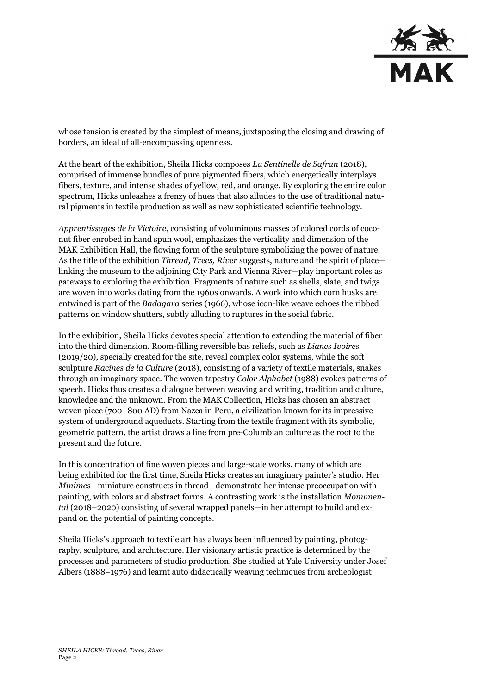

whose tension is created by the simplest of means, juxtaposing the closing and drawing of borders, an ideal of all-encompassing openness.

At the heart of the exhibition, Sheila Hicks composes *La Sentinelle de Safran* (2018), comprised of immense bundles of pure pigmented fibers, which energetically interplays fibers, texture, and intense shades of yellow, red, and orange. By exploring the entire color spectrum, Hicks unleashes a frenzy of hues that also alludes to the use of traditional natural pigments in textile production as well as new sophisticated scientific technology.

*Apprentissages de la Victoire*, consisting of voluminous masses of colored cords of coconut fiber enrobed in hand spun wool, emphasizes the verticality and dimension of the MAK Exhibition Hall, the flowing form of the sculpture symbolizing the power of nature. As the title of the exhibition *Thread, Trees, River* suggests, nature and the spirit of place linking the museum to the adjoining City Park and Vienna River—play important roles as gateways to exploring the exhibition. Fragments of nature such as shells, slate, and twigs are woven into works dating from the 1960s onwards. A work into which corn husks are entwined is part of the *Badagara* series (1966), whose icon-like weave echoes the ribbed patterns on window shutters, subtly alluding to ruptures in the social fabric.

In the exhibition, Sheila Hicks devotes special attention to extending the material of fiber into the third dimension. Room-filling reversible bas reliefs, such as *Lianes Ivoires* (2019/20), specially created for the site, reveal complex color systems, while the soft sculpture *Racines de la Culture* (2018), consisting of a variety of textile materials, snakes through an imaginary space. The woven tapestry *Color Alphabet* (1988) evokes patterns of speech. Hicks thus creates a dialogue between weaving and writing, tradition and culture, knowledge and the unknown. From the MAK Collection, Hicks has chosen an abstract woven piece (700–800 AD) from Nazca in Peru, a civilization known for its impressive system of underground aqueducts. Starting from the textile fragment with its symbolic, geometric pattern, the artist draws a line from pre-Columbian culture as the root to the present and the future.

In this concentration of fine woven pieces and large-scale works, many of which are being exhibited for the first time, Sheila Hicks creates an imaginary painter's studio. Her *Minimes*—miniature constructs in thread—demonstrate her intense preoccupation with painting, with colors and abstract forms. A contrasting work is the installation *Monumental* (2018–2020) consisting of several wrapped panels—in her attempt to build and expand on the potential of painting concepts.

Sheila Hicks's approach to textile art has always been influenced by painting, photography, sculpture, and architecture. Her visionary artistic practice is determined by the processes and parameters of studio production. She studied at Yale University under Josef Albers (1888–1976) and learnt auto didactically weaving techniques from archeologist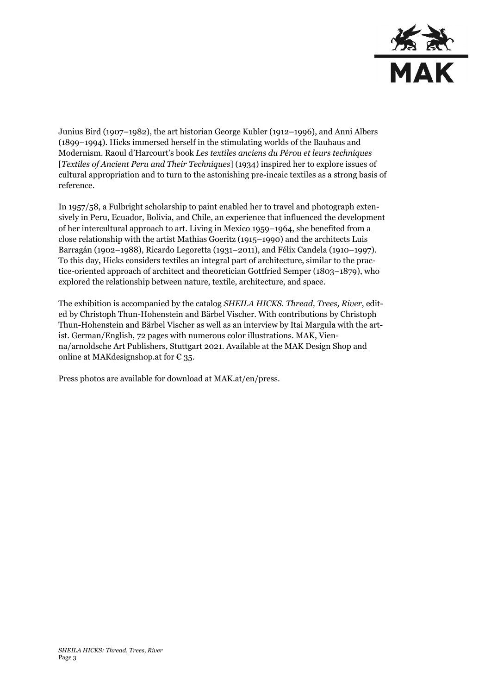

Junius Bird (1907–1982), the art historian George Kubler (1912–1996), and Anni Albers (1899–1994). Hicks immersed herself in the stimulating worlds of the Bauhaus and Modernism. Raoul d'Harcourt's book *Les textiles anciens du Pérou et leurs techniques*  [*Textiles of Ancient Peru and Their Techniques*] (1934) inspired her to explore issues of cultural appropriation and to turn to the astonishing pre-incaic textiles as a strong basis of reference.

In 1957/58, a Fulbright scholarship to paint enabled her to travel and photograph extensively in Peru, Ecuador, Bolivia, and Chile, an experience that influenced the development of her intercultural approach to art. Living in Mexico 1959–1964, she benefited from a close relationship with the artist Mathias Goeritz (1915–1990) and the architects Luis Barragán (1902–1988), Ricardo Legoretta (1931–2011), and Félix Candela (1910–1997). To this day, Hicks considers textiles an integral part of architecture, similar to the practice-oriented approach of architect and theoretician Gottfried Semper (1803–1879), who explored the relationship between nature, textile, architecture, and space.

The exhibition is accompanied by the catalog *SHEILA HICKS. Thread, Trees, River*, edited by Christoph Thun-Hohenstein and Bärbel Vischer. With contributions by Christoph Thun-Hohenstein and Bärbel Vischer as well as an interview by Itai Margula with the artist. German/English, 72 pages with numerous color illustrations. MAK, Vienna/arnoldsche Art Publishers, Stuttgart 2021. Available at the MAK Design Shop and online at MAK designshop. at for  $\epsilon$  35.

Press photos are available for download at MAK.at/en/press.